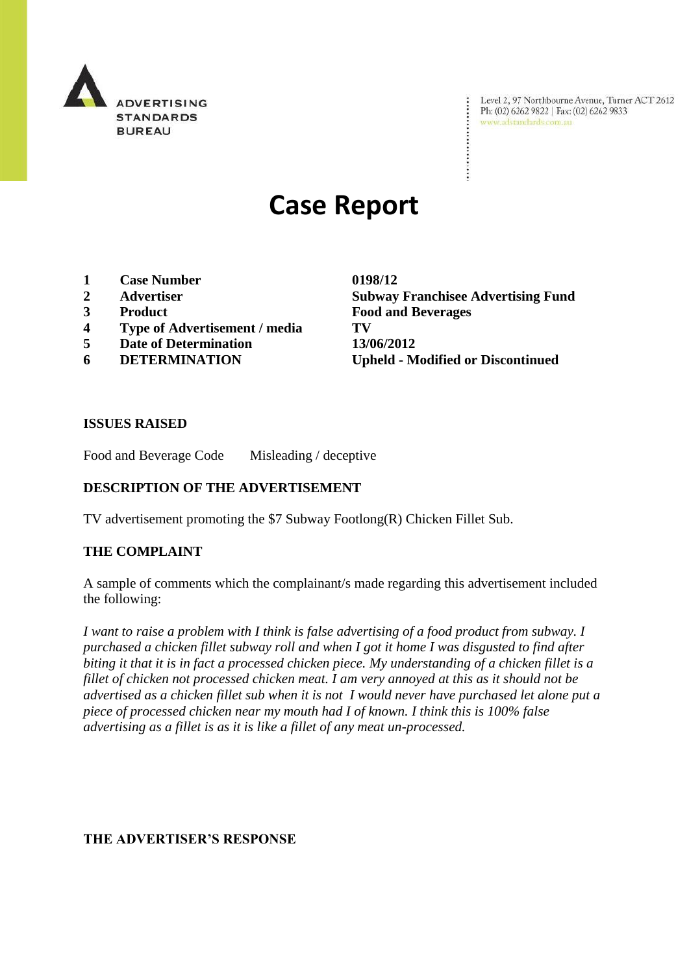

Level 2, 97 Northbourne Avenue, Turner ACT 2612<br>Ph: (02) 6262 9822 | Fax: (02) 6262 9833<br>www.adstandards.com.au www.adstandards.com.au

# **Case Report**

- **1 Case Number 0198/12**
- 
- 
- **4 Type of Advertisement / media TV**
- **5 Date of Determination 13/06/2012**
- 

**2 Advertiser Subway Franchisee Advertising Fund 3 Product Food and Beverages 6 DETERMINATION Upheld - Modified or Discontinued**

 $\ddot{\cdot}$ 

### **ISSUES RAISED**

Food and Beverage Code Misleading / deceptive

# **DESCRIPTION OF THE ADVERTISEMENT**

TV advertisement promoting the \$7 Subway Footlong(R) Chicken Fillet Sub.

#### **THE COMPLAINT**

A sample of comments which the complainant/s made regarding this advertisement included the following:

*I want to raise a problem with I think is false advertising of a food product from subway. I purchased a chicken fillet subway roll and when I got it home I was disgusted to find after biting it that it is in fact a processed chicken piece. My understanding of a chicken fillet is a fillet of chicken not processed chicken meat. I am very annoyed at this as it should not be advertised as a chicken fillet sub when it is not I would never have purchased let alone put a piece of processed chicken near my mouth had I of known. I think this is 100% false advertising as a fillet is as it is like a fillet of any meat un-processed.*

# **THE ADVERTISER'S RESPONSE**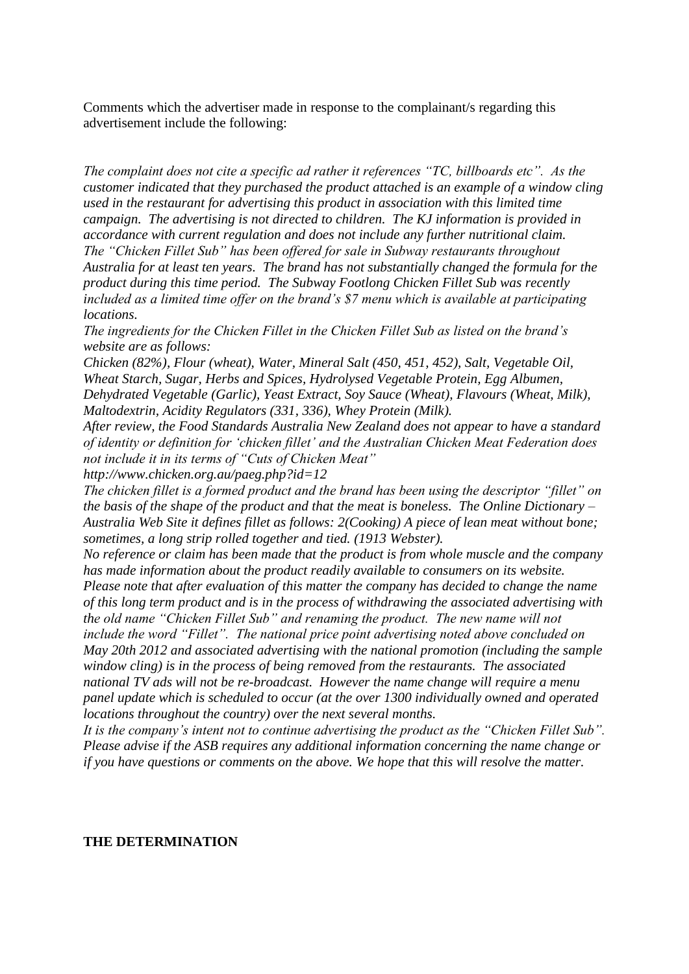Comments which the advertiser made in response to the complainant/s regarding this advertisement include the following:

*The complaint does not cite a specific ad rather it references "TC, billboards etc". As the customer indicated that they purchased the product attached is an example of a window cling used in the restaurant for advertising this product in association with this limited time campaign. The advertising is not directed to children. The KJ information is provided in accordance with current regulation and does not include any further nutritional claim. The "Chicken Fillet Sub" has been offered for sale in Subway restaurants throughout Australia for at least ten years. The brand has not substantially changed the formula for the product during this time period. The Subway Footlong Chicken Fillet Sub was recently included as a limited time offer on the brand"s \$7 menu which is available at participating locations.*

*The ingredients for the Chicken Fillet in the Chicken Fillet Sub as listed on the brand"s website are as follows:*

*Chicken (82%), Flour (wheat), Water, Mineral Salt (450, 451, 452), Salt, Vegetable Oil, Wheat Starch, Sugar, Herbs and Spices, Hydrolysed Vegetable Protein, Egg Albumen, Dehydrated Vegetable (Garlic), Yeast Extract, Soy Sauce (Wheat), Flavours (Wheat, Milk), Maltodextrin, Acidity Regulators (331, 336), Whey Protein (Milk).*

*After review, the Food Standards Australia New Zealand does not appear to have a standard of identity or definition for "chicken fillet" and the Australian Chicken Meat Federation does not include it in its terms of "Cuts of Chicken Meat"* 

*http://www.chicken.org.au/paeg.php?id=12*

*The chicken fillet is a formed product and the brand has been using the descriptor "fillet" on the basis of the shape of the product and that the meat is boneless. The Online Dictionary – Australia Web Site it defines fillet as follows: 2(Cooking) A piece of lean meat without bone; sometimes, a long strip rolled together and tied. (1913 Webster).*

*No reference or claim has been made that the product is from whole muscle and the company has made information about the product readily available to consumers on its website.*

*Please note that after evaluation of this matter the company has decided to change the name of this long term product and is in the process of withdrawing the associated advertising with the old name "Chicken Fillet Sub" and renaming the product. The new name will not include the word "Fillet". The national price point advertising noted above concluded on May 20th 2012 and associated advertising with the national promotion (including the sample window cling) is in the process of being removed from the restaurants. The associated national TV ads will not be re-broadcast. However the name change will require a menu panel update which is scheduled to occur (at the over 1300 individually owned and operated locations throughout the country) over the next several months.*

*It is the company"s intent not to continue advertising the product as the "Chicken Fillet Sub". Please advise if the ASB requires any additional information concerning the name change or if you have questions or comments on the above. We hope that this will resolve the matter.*

#### **THE DETERMINATION**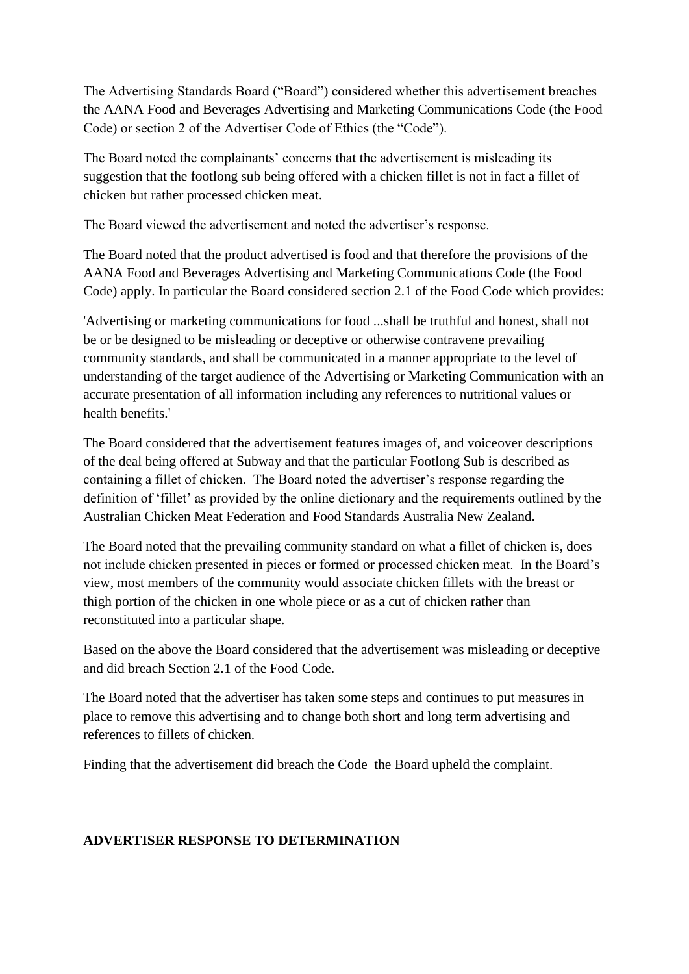The Advertising Standards Board ("Board") considered whether this advertisement breaches the AANA Food and Beverages Advertising and Marketing Communications Code (the Food Code) or section 2 of the Advertiser Code of Ethics (the "Code").

The Board noted the complainants' concerns that the advertisement is misleading its suggestion that the footlong sub being offered with a chicken fillet is not in fact a fillet of chicken but rather processed chicken meat.

The Board viewed the advertisement and noted the advertiser"s response.

The Board noted that the product advertised is food and that therefore the provisions of the AANA Food and Beverages Advertising and Marketing Communications Code (the Food Code) apply. In particular the Board considered section 2.1 of the Food Code which provides:

'Advertising or marketing communications for food ...shall be truthful and honest, shall not be or be designed to be misleading or deceptive or otherwise contravene prevailing community standards, and shall be communicated in a manner appropriate to the level of understanding of the target audience of the Advertising or Marketing Communication with an accurate presentation of all information including any references to nutritional values or health benefits.'

The Board considered that the advertisement features images of, and voiceover descriptions of the deal being offered at Subway and that the particular Footlong Sub is described as containing a fillet of chicken. The Board noted the advertiser"s response regarding the definition of 'fillet' as provided by the online dictionary and the requirements outlined by the Australian Chicken Meat Federation and Food Standards Australia New Zealand.

The Board noted that the prevailing community standard on what a fillet of chicken is, does not include chicken presented in pieces or formed or processed chicken meat. In the Board"s view, most members of the community would associate chicken fillets with the breast or thigh portion of the chicken in one whole piece or as a cut of chicken rather than reconstituted into a particular shape.

Based on the above the Board considered that the advertisement was misleading or deceptive and did breach Section 2.1 of the Food Code.

The Board noted that the advertiser has taken some steps and continues to put measures in place to remove this advertising and to change both short and long term advertising and references to fillets of chicken.

Finding that the advertisement did breach the Code the Board upheld the complaint.

# **ADVERTISER RESPONSE TO DETERMINATION**